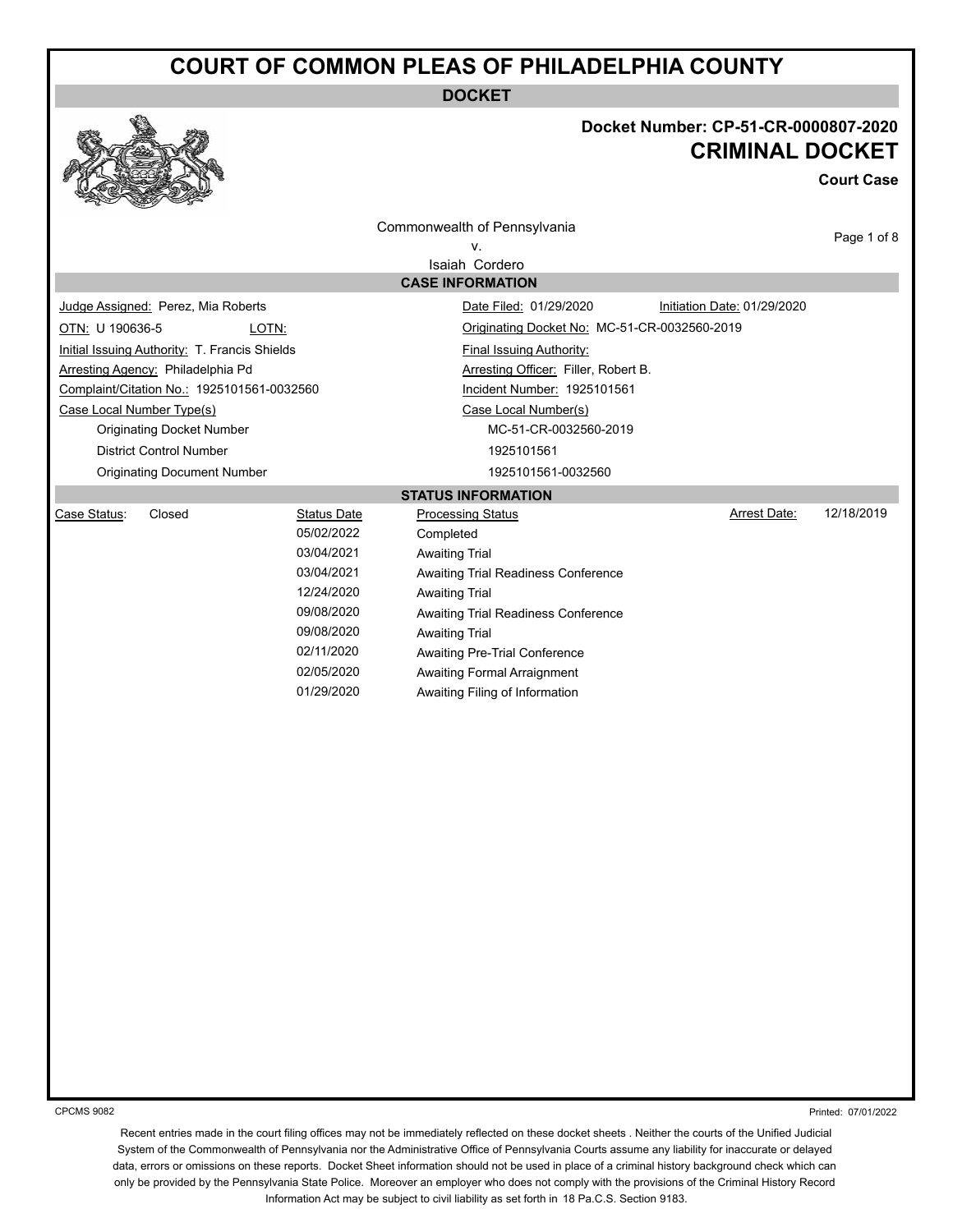**DOCKET**



### **Docket Number: CP-51-CR-0000807-2020 CRIMINAL DOCKET**

**Court Case**

| ឃ<br><b>REAL AND IN</b><br><b>Contractions</b>                            |                    |                                              |                             |             |  |  |
|---------------------------------------------------------------------------|--------------------|----------------------------------------------|-----------------------------|-------------|--|--|
|                                                                           |                    | Commonwealth of Pennsylvania                 |                             | Page 1 of 8 |  |  |
| ۷.                                                                        |                    |                                              |                             |             |  |  |
|                                                                           |                    | Isaiah Cordero                               |                             |             |  |  |
|                                                                           |                    | <b>CASE INFORMATION</b>                      |                             |             |  |  |
| Judge Assigned: Perez, Mia Roberts                                        |                    | Date Filed: 01/29/2020                       | Initiation Date: 01/29/2020 |             |  |  |
| OTN: U 190636-5<br>LOTN:                                                  |                    | Originating Docket No: MC-51-CR-0032560-2019 |                             |             |  |  |
| Initial Issuing Authority: T. Francis Shields                             |                    | <b>Final Issuing Authority:</b>              |                             |             |  |  |
| Arresting Agency: Philadelphia Pd<br>Arresting Officer: Filler, Robert B. |                    |                                              |                             |             |  |  |
| Complaint/Citation No.: 1925101561-0032560<br>Incident Number: 1925101561 |                    |                                              |                             |             |  |  |
| Case Local Number Type(s)                                                 |                    | Case Local Number(s)                         |                             |             |  |  |
| <b>Originating Docket Number</b>                                          |                    | MC-51-CR-0032560-2019                        |                             |             |  |  |
| <b>District Control Number</b>                                            |                    | 1925101561                                   |                             |             |  |  |
| <b>Originating Document Number</b>                                        |                    | 1925101561-0032560                           |                             |             |  |  |
|                                                                           |                    | <b>STATUS INFORMATION</b>                    |                             |             |  |  |
| Case Status:<br>Closed                                                    | <b>Status Date</b> | <b>Processing Status</b>                     | <b>Arrest Date:</b>         | 12/18/2019  |  |  |
|                                                                           | 05/02/2022         | Completed                                    |                             |             |  |  |
|                                                                           | 03/04/2021         | <b>Awaiting Trial</b>                        |                             |             |  |  |
|                                                                           | 03/04/2021         | Awaiting Trial Readiness Conference          |                             |             |  |  |
|                                                                           | 12/24/2020         | <b>Awaiting Trial</b>                        |                             |             |  |  |
|                                                                           | 09/08/2020         | Awaiting Trial Readiness Conference          |                             |             |  |  |
|                                                                           | 09/08/2020         | <b>Awaiting Trial</b>                        |                             |             |  |  |
|                                                                           | 02/11/2020         | Awaiting Pre-Trial Conference                |                             |             |  |  |
|                                                                           | 02/05/2020         | Awaiting Formal Arraignment                  |                             |             |  |  |
|                                                                           | 01/29/2020         | Awaiting Filing of Information               |                             |             |  |  |
|                                                                           |                    |                                              |                             |             |  |  |
|                                                                           |                    |                                              |                             |             |  |  |
|                                                                           |                    |                                              |                             |             |  |  |
|                                                                           |                    |                                              |                             |             |  |  |
|                                                                           |                    |                                              |                             |             |  |  |
|                                                                           |                    |                                              |                             |             |  |  |
|                                                                           |                    |                                              |                             |             |  |  |
|                                                                           |                    |                                              |                             |             |  |  |
|                                                                           |                    |                                              |                             |             |  |  |
|                                                                           |                    |                                              |                             |             |  |  |
|                                                                           |                    |                                              |                             |             |  |  |
|                                                                           |                    |                                              |                             |             |  |  |
|                                                                           |                    |                                              |                             |             |  |  |
|                                                                           |                    |                                              |                             |             |  |  |
|                                                                           |                    |                                              |                             |             |  |  |
|                                                                           |                    |                                              |                             |             |  |  |
|                                                                           |                    |                                              |                             |             |  |  |
|                                                                           |                    |                                              |                             |             |  |  |
|                                                                           |                    |                                              |                             |             |  |  |

CPCMS 9082

Printed: 07/01/2022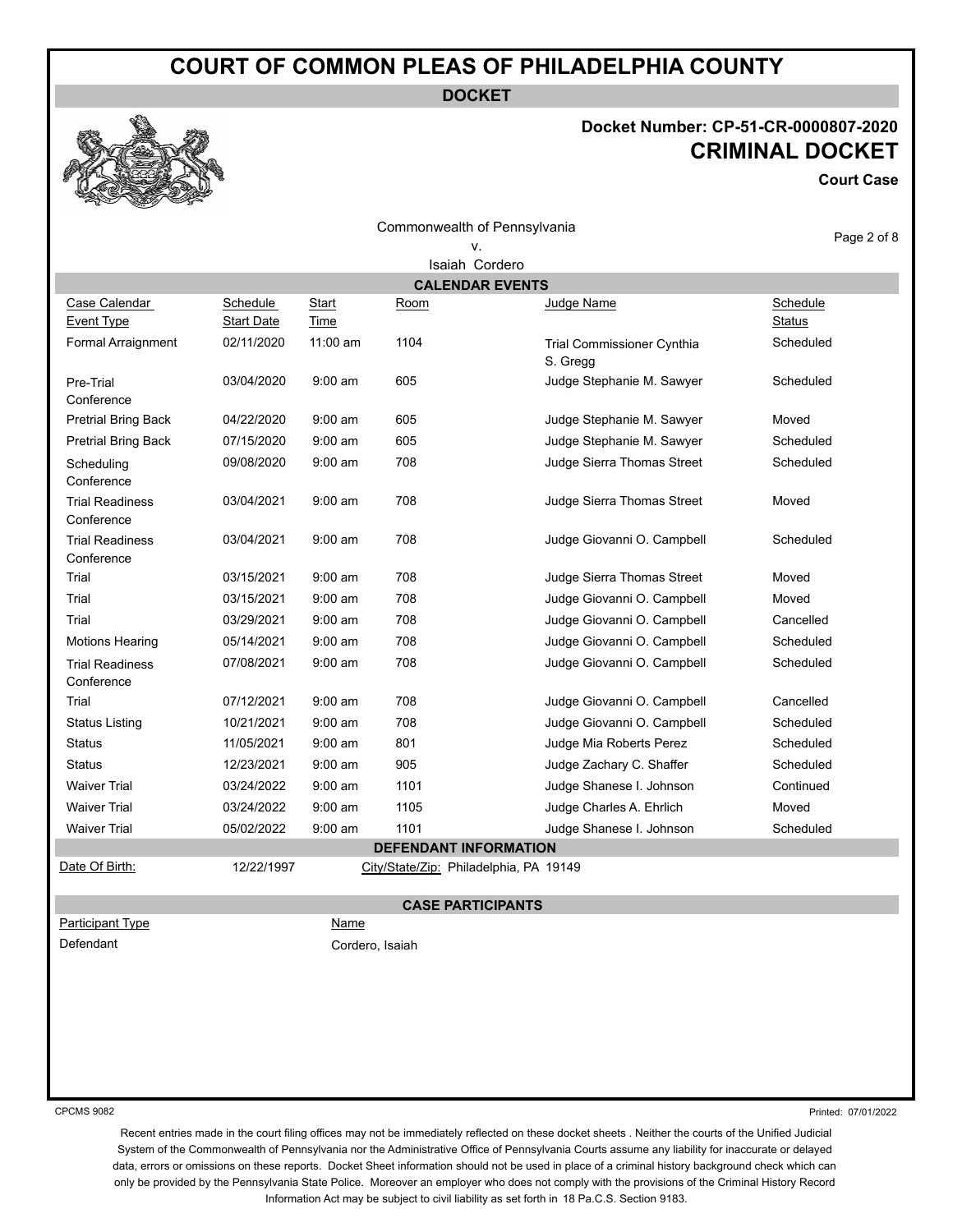**DOCKET**

### **Docket Number: CP-51-CR-0000807-2020 CRIMINAL DOCKET**

**Court Case**



|                                      | Commonwealth of Pennsylvania<br>٧.<br>Isaiah Cordero |               |      | Page 2 of 8                                   |                           |
|--------------------------------------|------------------------------------------------------|---------------|------|-----------------------------------------------|---------------------------|
|                                      |                                                      |               |      | <b>CALENDAR EVENTS</b>                        |                           |
| Case Calendar<br>Event Type          | Schedule<br><b>Start Date</b>                        | Start<br>Time | Room | Judge Name                                    | Schedule<br><b>Status</b> |
| <b>Formal Arraignment</b>            | 02/11/2020                                           | $11:00$ am    | 1104 | <b>Trial Commissioner Cynthia</b><br>S. Gregg | Scheduled                 |
| Pre-Trial<br>Conference              | 03/04/2020                                           | $9:00$ am     | 605  | Judge Stephanie M. Sawyer                     | Scheduled                 |
| <b>Pretrial Bring Back</b>           | 04/22/2020                                           | $9:00$ am     | 605  | Judge Stephanie M. Sawyer                     | Moved                     |
| <b>Pretrial Bring Back</b>           | 07/15/2020                                           | $9:00$ am     | 605  | Judge Stephanie M. Sawyer                     | Scheduled                 |
| Scheduling<br>Conference             | 09/08/2020                                           | $9:00$ am     | 708  | Judge Sierra Thomas Street                    | Scheduled                 |
| <b>Trial Readiness</b><br>Conference | 03/04/2021                                           | $9:00$ am     | 708  | Judge Sierra Thomas Street                    | Moved                     |
| <b>Trial Readiness</b><br>Conference | 03/04/2021                                           | $9:00$ am     | 708  | Judge Giovanni O. Campbell                    | Scheduled                 |
| Trial                                | 03/15/2021                                           | $9:00$ am     | 708  | Judge Sierra Thomas Street                    | Moved                     |
| Trial                                | 03/15/2021                                           | $9:00$ am     | 708  | Judge Giovanni O. Campbell                    | Moved                     |
| Trial                                | 03/29/2021                                           | $9:00$ am     | 708  | Judge Giovanni O. Campbell                    | Cancelled                 |
| <b>Motions Hearing</b>               | 05/14/2021                                           | $9:00$ am     | 708  | Judge Giovanni O. Campbell                    | Scheduled                 |
| <b>Trial Readiness</b><br>Conference | 07/08/2021                                           | $9:00$ am     | 708  | Judge Giovanni O. Campbell                    | Scheduled                 |
| Trial                                | 07/12/2021                                           | $9:00$ am     | 708  | Judge Giovanni O. Campbell                    | Cancelled                 |
| <b>Status Listing</b>                | 10/21/2021                                           | $9:00$ am     | 708  | Judge Giovanni O. Campbell                    | Scheduled                 |
| <b>Status</b>                        | 11/05/2021                                           | $9:00$ am     | 801  | Judge Mia Roberts Perez                       | Scheduled                 |
| <b>Status</b>                        | 12/23/2021                                           | $9:00$ am     | 905  | Judge Zachary C. Shaffer                      | Scheduled                 |

#### **DEFENDANT INFORMATION**

Waiver Trial **2008** 03/24/2022 9:00 am 1101 Judge Shanese I. Johnson Continued Waiver Trial **2008 128 12022 9:00 am** 1105 Judge Charles A. Ehrlich Moved Waiver Trial **2006** 05/02/2022 9:00 am 1101 Judge Shanese I. Johnson Scheduled

Date Of Birth: 12/22/1997 City/State/Zip: Philadelphia, PA 19149

#### **CASE PARTICIPANTS**

Participant Type Name Defendant Cordero, Isaiah

CPCMS 9082

Printed: 07/01/2022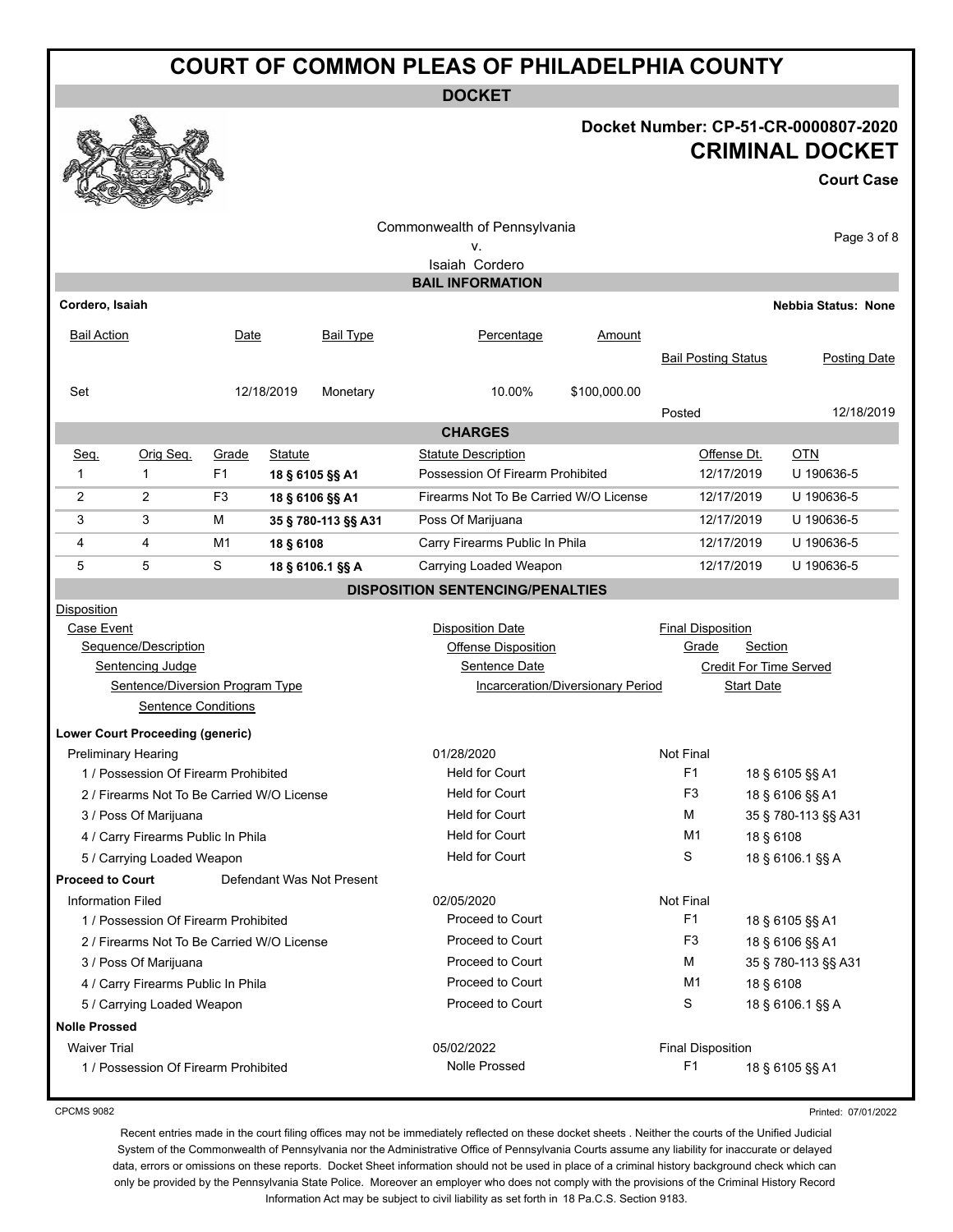**DOCKET**

#### **Docket Number: CP-51-CR-0000807-2020 CRIMINAL DOCKET**

# **Court Case**

|                                 |                                            |                       |            |                                   | Commonwealth of Pennsylvania<br>٧.        |                     |                            |             | Page 3 of 8                   |
|---------------------------------|--------------------------------------------|-----------------------|------------|-----------------------------------|-------------------------------------------|---------------------|----------------------------|-------------|-------------------------------|
|                                 |                                            |                       |            |                                   | Isaiah Cordero<br><b>BAIL INFORMATION</b> |                     |                            |             |                               |
| Cordero, Isaiah                 |                                            |                       |            |                                   |                                           |                     |                            |             | <b>Nebbia Status: None</b>    |
|                                 |                                            |                       |            |                                   |                                           |                     |                            |             |                               |
| <b>Bail Action</b>              |                                            | Date                  |            | <b>Bail Type</b>                  | Percentage                                | Amount              |                            |             |                               |
|                                 |                                            |                       |            |                                   |                                           |                     | <b>Bail Posting Status</b> |             | Posting Date                  |
| Set                             |                                            |                       | 12/18/2019 | Monetary                          | 10.00%                                    | \$100,000.00        |                            |             |                               |
|                                 |                                            |                       |            |                                   |                                           |                     | Posted                     |             | 12/18/2019                    |
|                                 |                                            |                       |            |                                   | <b>CHARGES</b>                            |                     |                            |             |                               |
| Seq.                            | Orig Seq.                                  | Grade                 | Statute    |                                   | <b>Statute Description</b>                |                     |                            | Offense Dt. | <b>OTN</b>                    |
| 1                               | $\mathbf{1}$                               | F <sub>1</sub>        |            | 18 § 6105 §§ A1                   | Possession Of Firearm Prohibited          |                     |                            | 12/17/2019  | U 190636-5                    |
| 2                               | 2                                          | F3                    |            | 18 § 6106 §§ A1                   | Firearms Not To Be Carried W/O License    |                     |                            | 12/17/2019  | U 190636-5                    |
| 3                               | 3                                          | М                     |            | 35 § 780-113 §§ A31               | Poss Of Marijuana                         |                     |                            | 12/17/2019  | U 190636-5                    |
| 4                               | 4                                          | M1                    | 18 § 6108  |                                   | Carry Firearms Public In Phila            |                     |                            | 12/17/2019  | U 190636-5                    |
| 5                               | 5                                          | S                     |            | 18 § 6106.1 §§ A                  | Carrying Loaded Weapon                    |                     |                            | 12/17/2019  | U 190636-5                    |
|                                 |                                            |                       |            |                                   | <b>DISPOSITION SENTENCING/PENALTIES</b>   |                     |                            |             |                               |
| <b>Disposition</b>              |                                            |                       |            |                                   |                                           |                     |                            |             |                               |
| Case Event                      |                                            |                       |            |                                   | <b>Disposition Date</b>                   |                     | <b>Final Disposition</b>   |             |                               |
|                                 | Sequence/Description                       |                       |            |                                   | <b>Offense Disposition</b>                |                     | Grade                      | Section     |                               |
|                                 | <b>Sentencing Judge</b>                    |                       |            |                                   | Sentence Date                             |                     |                            |             | <b>Credit For Time Served</b> |
| Sentence/Diversion Program Type |                                            |                       |            | Incarceration/Diversionary Period |                                           | <b>Start Date</b>   |                            |             |                               |
|                                 | <b>Sentence Conditions</b>                 |                       |            |                                   |                                           |                     |                            |             |                               |
|                                 | <b>Lower Court Proceeding (generic)</b>    |                       |            |                                   |                                           |                     |                            |             |                               |
|                                 | <b>Preliminary Hearing</b>                 |                       |            |                                   | 01/28/2020                                |                     | <b>Not Final</b>           |             |                               |
|                                 | 1 / Possession Of Firearm Prohibited       |                       |            |                                   | <b>Held for Court</b>                     |                     | F1                         |             | 18 § 6105 §§ A1               |
|                                 | 2 / Firearms Not To Be Carried W/O License |                       |            |                                   | <b>Held for Court</b>                     |                     | F3                         |             | 18 § 6106 §§ A1               |
| 3 / Poss Of Marijuana           |                                            | <b>Held for Court</b> |            | м                                 |                                           | 35 § 780-113 §§ A31 |                            |             |                               |
|                                 | 4 / Carry Firearms Public In Phila         |                       |            |                                   | <b>Held for Court</b>                     |                     | M1                         | 18 § 6108   |                               |
|                                 | 5 / Carrying Loaded Weapon                 |                       |            |                                   | <b>Held for Court</b>                     |                     | S                          |             | 18 § 6106.1 §§ A              |
| <b>Proceed to Court</b>         |                                            |                       |            | Defendant Was Not Present         |                                           |                     |                            |             |                               |
|                                 | Information Filed                          |                       |            |                                   | 02/05/2020                                |                     | Not Final                  |             |                               |
|                                 | 1 / Possession Of Firearm Prohibited       |                       |            |                                   | Proceed to Court                          |                     | F <sub>1</sub>             |             | 18 § 6105 §§ A1               |
|                                 | 2 / Firearms Not To Be Carried W/O License |                       |            |                                   | Proceed to Court                          |                     | F <sub>3</sub>             |             | 18 § 6106 §§ A1               |
|                                 | 3 / Poss Of Marijuana                      |                       |            |                                   | Proceed to Court                          |                     | м                          |             | 35 § 780-113 §§ A31           |
|                                 | 4 / Carry Firearms Public In Phila         |                       |            |                                   | Proceed to Court                          |                     | M <sub>1</sub>             | 18 § 6108   |                               |
|                                 | 5 / Carrying Loaded Weapon                 |                       |            |                                   | Proceed to Court                          |                     | S                          |             | 18 § 6106.1 §§ A              |
| <b>Nolle Prossed</b>            |                                            |                       |            |                                   |                                           |                     |                            |             |                               |
| <b>Waiver Trial</b>             |                                            |                       |            |                                   | 05/02/2022                                |                     | <b>Final Disposition</b>   |             |                               |
|                                 | 1 / Possession Of Firearm Prohibited       |                       |            |                                   | Nolle Prossed                             |                     | F <sub>1</sub>             |             | 18 § 6105 §§ A1               |

CPCMS 9082

Printed: 07/01/2022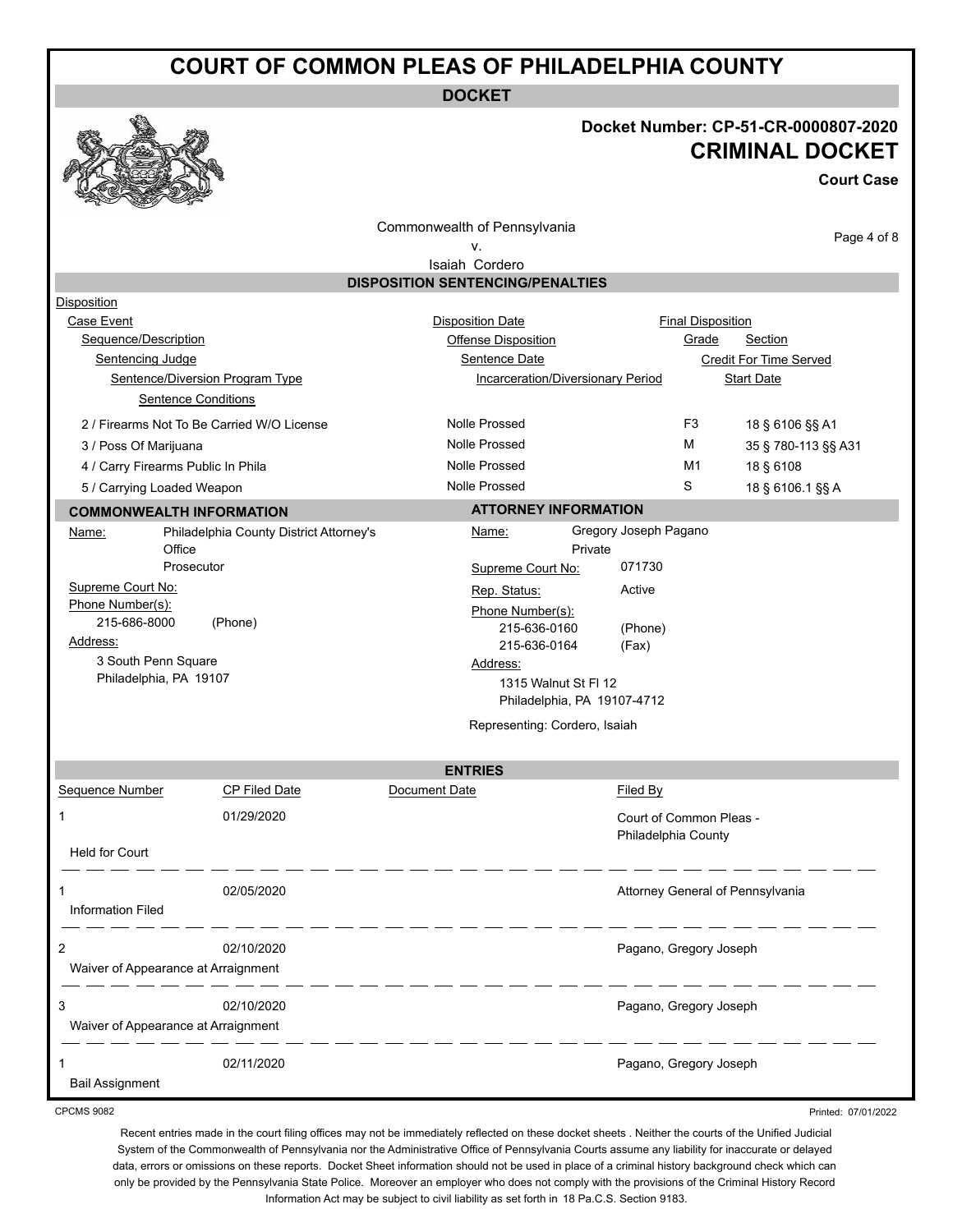**DOCKET**

#### **Docket Number: CP-51-CR-0000807-2020 CRIMINAL DOCKET**

**Court Case**

Commonwealth of Pennsylvania

Page 4 of 8

Printed: 07/01/2022

#### v. Isaiah Cordero

**DISPOSITION SENTENCING/PENALTIES**

| Disposition                                |                                         |                                          |                                  |                               |
|--------------------------------------------|-----------------------------------------|------------------------------------------|----------------------------------|-------------------------------|
| <b>Case Event</b>                          |                                         | <b>Disposition Date</b>                  | <b>Final Disposition</b>         |                               |
| Sequence/Description                       |                                         | <b>Offense Disposition</b>               | Grade                            | <b>Section</b>                |
| <b>Sentencing Judge</b>                    |                                         | <b>Sentence Date</b>                     |                                  | <b>Credit For Time Served</b> |
|                                            | Sentence/Diversion Program Type         | <b>Incarceration/Diversionary Period</b> |                                  | <b>Start Date</b>             |
| <b>Sentence Conditions</b>                 |                                         |                                          |                                  |                               |
| 2 / Firearms Not To Be Carried W/O License |                                         | Nolle Prossed                            | F <sub>3</sub>                   | 18 § 6106 §§ A1               |
| 3 / Poss Of Marijuana                      |                                         | <b>Nolle Prossed</b>                     | м                                | 35 § 780-113 §§ A31           |
| 4 / Carry Firearms Public In Phila         |                                         | <b>Nolle Prossed</b>                     | M1                               | 18 § 6108                     |
| 5 / Carrying Loaded Weapon                 |                                         | <b>Nolle Prossed</b>                     | S                                | 18 § 6106.1 §§ A              |
|                                            | <b>COMMONWEALTH INFORMATION</b>         | <b>ATTORNEY INFORMATION</b>              |                                  |                               |
| Name:                                      | Philadelphia County District Attorney's | Name:                                    | Gregory Joseph Pagano            |                               |
|                                            | Office                                  | Private                                  |                                  |                               |
|                                            | Prosecutor                              | Supreme Court No:                        | 071730                           |                               |
| Supreme Court No:                          |                                         | Rep. Status:                             | Active                           |                               |
| Phone Number(s):                           |                                         | Phone Number(s):                         |                                  |                               |
| 215-686-8000                               | (Phone)                                 | 215-636-0160                             | (Phone)                          |                               |
| Address:                                   |                                         | 215-636-0164                             | (Fax)                            |                               |
| 3 South Penn Square                        |                                         | Address:                                 |                                  |                               |
| Philadelphia, PA 19107                     |                                         | 1315 Walnut St FI 12                     |                                  |                               |
|                                            |                                         | Philadelphia, PA 19107-4712              |                                  |                               |
|                                            |                                         | Representing: Cordero, Isaiah            |                                  |                               |
|                                            |                                         |                                          |                                  |                               |
|                                            |                                         | <b>ENTRIES</b>                           |                                  |                               |
| Sequence Number                            | <b>CP Filed Date</b>                    | Document Date                            | Filed By                         |                               |
| 1                                          | 01/29/2020                              |                                          | Court of Common Pleas -          |                               |
|                                            |                                         |                                          | Philadelphia County              |                               |
| <b>Held for Court</b>                      |                                         |                                          |                                  |                               |
| 1                                          | 02/05/2020                              |                                          | Attorney General of Pennsylvania |                               |
| <b>Information Filed</b>                   |                                         |                                          |                                  |                               |
|                                            |                                         |                                          |                                  |                               |
| 2                                          | 02/10/2020                              |                                          | Pagano, Gregory Joseph           |                               |
|                                            | Waiver of Appearance at Arraignment     |                                          |                                  |                               |
|                                            |                                         |                                          |                                  |                               |
| 3                                          | 02/10/2020                              |                                          | Pagano, Gregory Joseph           |                               |
|                                            | Waiver of Appearance at Arraignment     |                                          |                                  |                               |
| 1                                          | 02/11/2020                              |                                          | Pagano, Gregory Joseph           |                               |
| <b>Bail Assignment</b>                     |                                         |                                          |                                  |                               |
|                                            |                                         |                                          |                                  |                               |

CPCMS 9082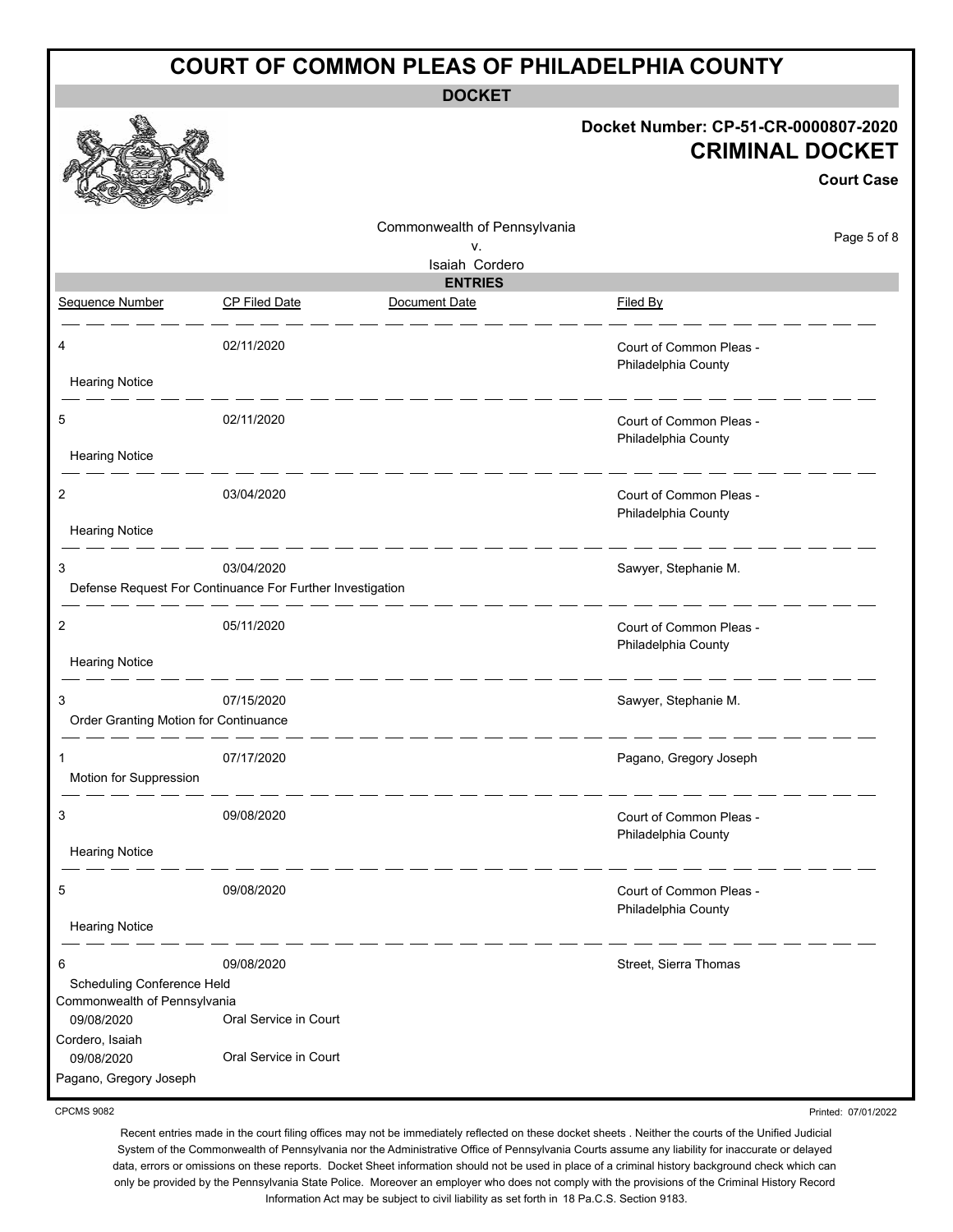| <b>DOCKET</b><br>Docket Number: CP-51-CR-0000807-2020<br><b>CRIMINAL DOCKET</b><br><b>Court Case</b><br>Commonwealth of Pennsylvania<br>Page 5 of 8<br>٧.<br>Isaiah Cordero<br><b>ENTRIES</b><br>Sequence Number<br><b>CP Filed Date</b><br>Document Date<br>Filed By<br>02/11/2020<br>Court of Common Pleas -<br>4<br>Philadelphia County<br><b>Hearing Notice</b><br>02/11/2020<br>5<br>Court of Common Pleas -<br>Philadelphia County<br><b>Hearing Notice</b><br>2<br>03/04/2020<br>Court of Common Pleas -<br>Philadelphia County<br><b>Hearing Notice</b><br>03/04/2020<br>Sawyer, Stephanie M.<br>3<br>Defense Request For Continuance For Further Investigation<br>2<br>05/11/2020<br>Court of Common Pleas - |
|-----------------------------------------------------------------------------------------------------------------------------------------------------------------------------------------------------------------------------------------------------------------------------------------------------------------------------------------------------------------------------------------------------------------------------------------------------------------------------------------------------------------------------------------------------------------------------------------------------------------------------------------------------------------------------------------------------------------------|
|                                                                                                                                                                                                                                                                                                                                                                                                                                                                                                                                                                                                                                                                                                                       |
|                                                                                                                                                                                                                                                                                                                                                                                                                                                                                                                                                                                                                                                                                                                       |
|                                                                                                                                                                                                                                                                                                                                                                                                                                                                                                                                                                                                                                                                                                                       |
|                                                                                                                                                                                                                                                                                                                                                                                                                                                                                                                                                                                                                                                                                                                       |
|                                                                                                                                                                                                                                                                                                                                                                                                                                                                                                                                                                                                                                                                                                                       |
|                                                                                                                                                                                                                                                                                                                                                                                                                                                                                                                                                                                                                                                                                                                       |
|                                                                                                                                                                                                                                                                                                                                                                                                                                                                                                                                                                                                                                                                                                                       |
|                                                                                                                                                                                                                                                                                                                                                                                                                                                                                                                                                                                                                                                                                                                       |
|                                                                                                                                                                                                                                                                                                                                                                                                                                                                                                                                                                                                                                                                                                                       |
|                                                                                                                                                                                                                                                                                                                                                                                                                                                                                                                                                                                                                                                                                                                       |
| Philadelphia County                                                                                                                                                                                                                                                                                                                                                                                                                                                                                                                                                                                                                                                                                                   |
| <b>Hearing Notice</b>                                                                                                                                                                                                                                                                                                                                                                                                                                                                                                                                                                                                                                                                                                 |
| 07/15/2020<br>3<br>Sawyer, Stephanie M.<br>Order Granting Motion for Continuance                                                                                                                                                                                                                                                                                                                                                                                                                                                                                                                                                                                                                                      |
| 07/17/2020<br>Pagano, Gregory Joseph<br>1<br>Motion for Suppression                                                                                                                                                                                                                                                                                                                                                                                                                                                                                                                                                                                                                                                   |
| 09/08/2020<br>3<br>Court of Common Pleas -<br>Philadelphia County<br><b>Hearing Notice</b>                                                                                                                                                                                                                                                                                                                                                                                                                                                                                                                                                                                                                            |
| 09/08/2020<br>5<br>Court of Common Pleas -<br>Philadelphia County                                                                                                                                                                                                                                                                                                                                                                                                                                                                                                                                                                                                                                                     |
| <b>Hearing Notice</b>                                                                                                                                                                                                                                                                                                                                                                                                                                                                                                                                                                                                                                                                                                 |
| 09/08/2020<br>Street, Sierra Thomas<br>6<br><b>Scheduling Conference Held</b>                                                                                                                                                                                                                                                                                                                                                                                                                                                                                                                                                                                                                                         |
| Commonwealth of Pennsylvania<br>09/08/2020<br>Oral Service in Court                                                                                                                                                                                                                                                                                                                                                                                                                                                                                                                                                                                                                                                   |
| Cordero, Isaiah<br>Oral Service in Court<br>09/08/2020<br>Pagano, Gregory Joseph                                                                                                                                                                                                                                                                                                                                                                                                                                                                                                                                                                                                                                      |
| <b>CPCMS 9082</b><br>Printed: 07/01/2022                                                                                                                                                                                                                                                                                                                                                                                                                                                                                                                                                                                                                                                                              |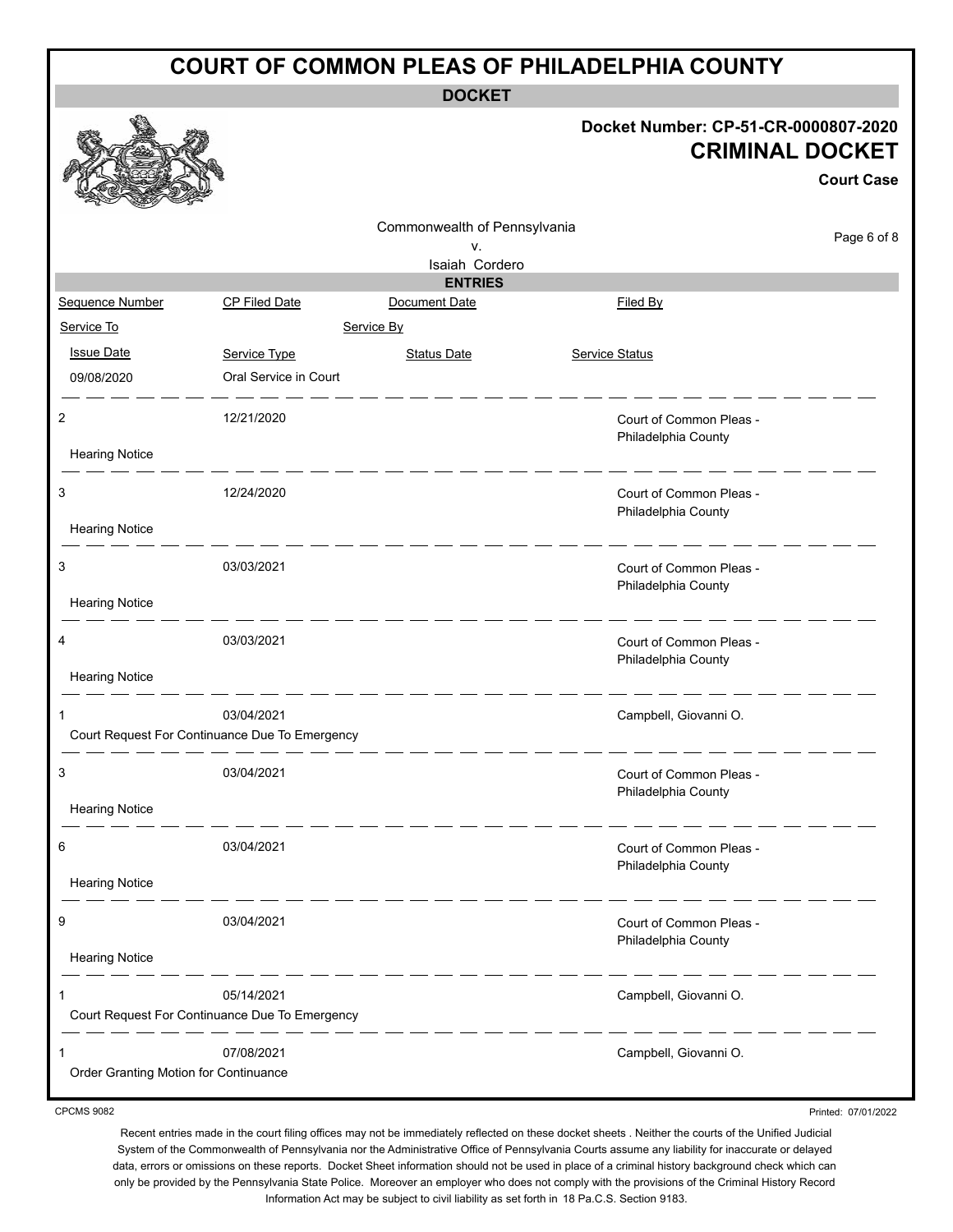**DOCKET**

#### **Docket Number: CP-51-CR-0000807-2020 CRIMINAL DOCKET**

|                                            |                                                              |                                                      |                                                | <b>Court Case</b> |
|--------------------------------------------|--------------------------------------------------------------|------------------------------------------------------|------------------------------------------------|-------------------|
|                                            |                                                              | Commonwealth of Pennsylvania<br>v.<br>Isaiah Cordero |                                                | Page 6 of 8       |
|                                            |                                                              | <b>ENTRIES</b>                                       |                                                |                   |
| Sequence Number                            | <b>CP Filed Date</b>                                         | Document Date                                        | Filed By                                       |                   |
| Service To                                 |                                                              | Service By                                           |                                                |                   |
| <b>Issue Date</b>                          | Service Type                                                 | <b>Status Date</b>                                   | <b>Service Status</b>                          |                   |
| 09/08/2020                                 | Oral Service in Court                                        |                                                      |                                                |                   |
| $\overline{2}$                             | 12/21/2020                                                   |                                                      | Court of Common Pleas -<br>Philadelphia County |                   |
| <b>Hearing Notice</b>                      |                                                              |                                                      |                                                |                   |
| 3                                          | 12/24/2020                                                   |                                                      | Court of Common Pleas -<br>Philadelphia County |                   |
| <b>Hearing Notice</b>                      |                                                              |                                                      |                                                |                   |
| 3                                          | 03/03/2021                                                   |                                                      | Court of Common Pleas -<br>Philadelphia County |                   |
| <b>Hearing Notice</b>                      |                                                              |                                                      |                                                |                   |
| 4                                          | 03/03/2021                                                   |                                                      | Court of Common Pleas -<br>Philadelphia County |                   |
| <b>Hearing Notice</b>                      |                                                              |                                                      |                                                |                   |
| 1                                          | 03/04/2021                                                   |                                                      | Campbell, Giovanni O.                          |                   |
|                                            | Court Request For Continuance Due To Emergency               |                                                      |                                                |                   |
| 3                                          | 03/04/2021                                                   |                                                      | Court of Common Pleas -<br>Philadelphia County |                   |
| <b>Hearing Notice</b>                      |                                                              |                                                      |                                                |                   |
| 6                                          | 03/04/2021                                                   |                                                      | Court of Common Pleas -<br>Philadelphia County |                   |
| <b>Hearing Notice</b>                      |                                                              |                                                      |                                                |                   |
| 9                                          | 03/04/2021                                                   |                                                      | Court of Common Pleas -<br>Philadelphia County |                   |
| <b>Hearing Notice</b>                      |                                                              |                                                      |                                                |                   |
| 1                                          | 05/14/2021<br>Court Request For Continuance Due To Emergency |                                                      | Campbell, Giovanni O.                          |                   |
| 1<br>Order Granting Motion for Continuance | 07/08/2021                                                   |                                                      | Campbell, Giovanni O.                          |                   |

CPCMS 9082

Recent entries made in the court filing offices may not be immediately reflected on these docket sheets . Neither the courts of the Unified Judicial System of the Commonwealth of Pennsylvania nor the Administrative Office of Pennsylvania Courts assume any liability for inaccurate or delayed data, errors or omissions on these reports. Docket Sheet information should not be used in place of a criminal history background check which can only be provided by the Pennsylvania State Police. Moreover an employer who does not comply with the provisions of the Criminal History Record Information Act may be subject to civil liability as set forth in 18 Pa.C.S. Section 9183.

Printed: 07/01/2022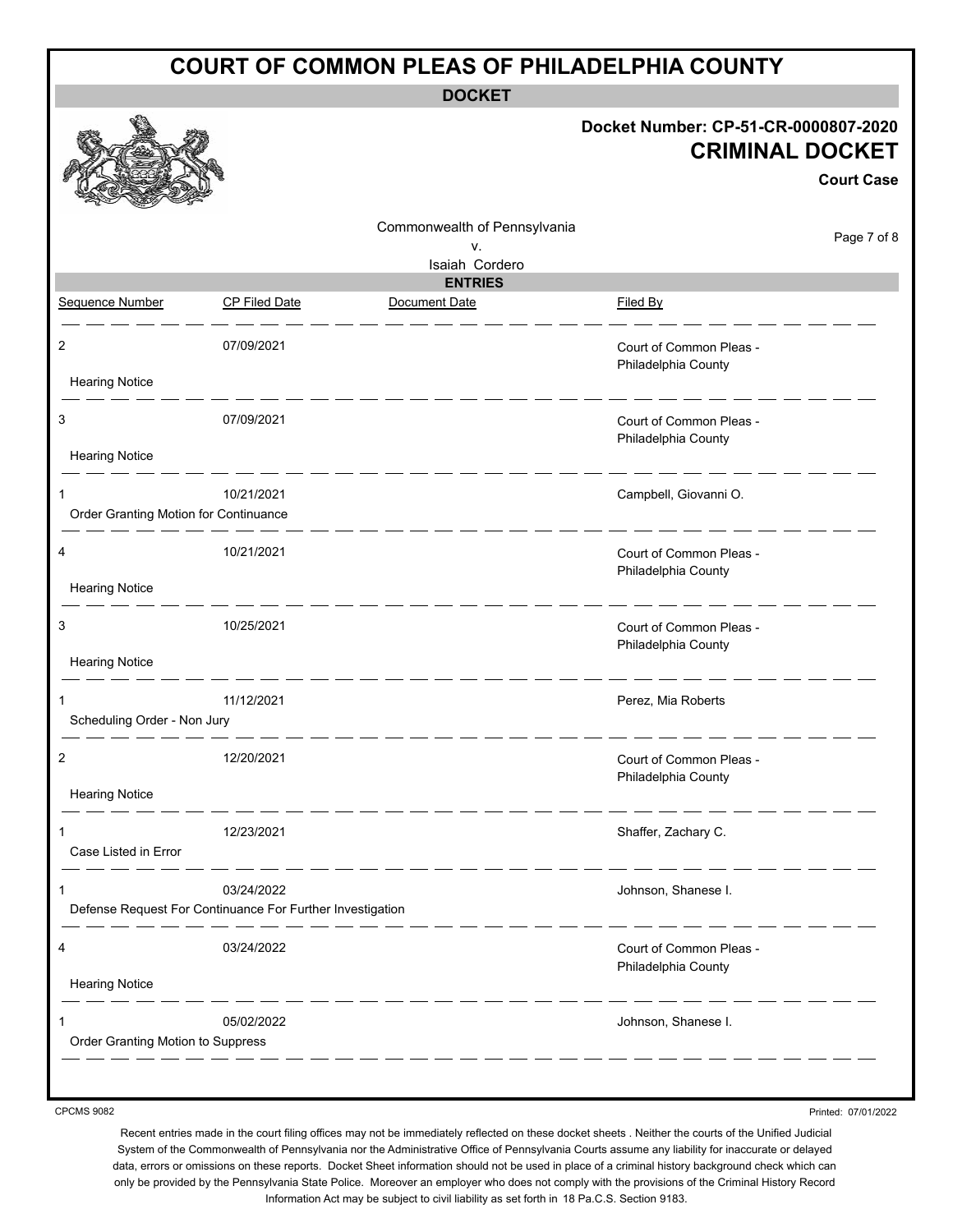| <b>COURT OF COMMON PLEAS OF PHILADELPHIA COUNTY</b>                     |                                                      |                                                                                     |  |  |  |  |  |
|-------------------------------------------------------------------------|------------------------------------------------------|-------------------------------------------------------------------------------------|--|--|--|--|--|
|                                                                         | <b>DOCKET</b>                                        |                                                                                     |  |  |  |  |  |
|                                                                         |                                                      | Docket Number: CP-51-CR-0000807-2020<br><b>CRIMINAL DOCKET</b><br><b>Court Case</b> |  |  |  |  |  |
|                                                                         | Commonwealth of Pennsylvania<br>٧.<br>Isaiah Cordero | Page 7 of 8                                                                         |  |  |  |  |  |
|                                                                         | <b>ENTRIES</b>                                       |                                                                                     |  |  |  |  |  |
| Sequence Number<br><b>CP Filed Date</b>                                 | Document Date                                        | Filed By                                                                            |  |  |  |  |  |
| $\overline{2}$<br>07/09/2021                                            |                                                      | Court of Common Pleas -<br>Philadelphia County                                      |  |  |  |  |  |
| <b>Hearing Notice</b>                                                   |                                                      |                                                                                     |  |  |  |  |  |
| 07/09/2021<br>3<br><b>Hearing Notice</b>                                |                                                      | Court of Common Pleas -<br>Philadelphia County                                      |  |  |  |  |  |
|                                                                         |                                                      |                                                                                     |  |  |  |  |  |
| 10/21/2021<br>1<br>Order Granting Motion for Continuance                |                                                      | Campbell, Giovanni O.                                                               |  |  |  |  |  |
| 10/21/2021<br>4                                                         |                                                      | Court of Common Pleas -<br>Philadelphia County                                      |  |  |  |  |  |
| <b>Hearing Notice</b>                                                   |                                                      |                                                                                     |  |  |  |  |  |
| 10/25/2021<br>3<br><b>Hearing Notice</b>                                |                                                      | Court of Common Pleas -<br>Philadelphia County                                      |  |  |  |  |  |
| 11/12/2021<br>Scheduling Order - Non Jury                               |                                                      | Perez, Mia Roberts                                                                  |  |  |  |  |  |
| $\overline{c}$<br>12/20/2021<br><b>Hearing Notice</b>                   |                                                      | Court of Common Pleas -<br>Philadelphia County                                      |  |  |  |  |  |
| 12/23/2021<br>Case Listed in Error                                      |                                                      | Shaffer, Zachary C.                                                                 |  |  |  |  |  |
| 03/24/2022<br>Defense Request For Continuance For Further Investigation |                                                      | Johnson, Shanese I.                                                                 |  |  |  |  |  |
| 03/24/2022<br>4<br><b>Hearing Notice</b>                                |                                                      | Court of Common Pleas -<br>Philadelphia County                                      |  |  |  |  |  |
| 05/02/2022<br>Order Granting Motion to Suppress                         |                                                      | Johnson, Shanese I.                                                                 |  |  |  |  |  |

CPCMS 9082

Printed: 07/01/2022